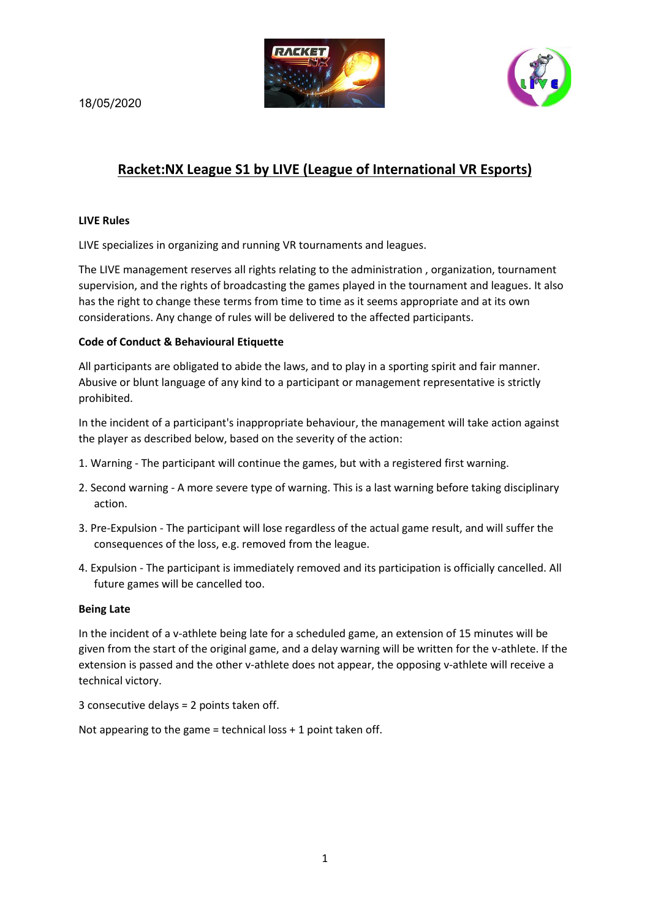

18/05/2020

# **Racket:NX League S1 by LIVE (League of International VR Esports)**

### **LIVE Rules**

LIVE specializes in organizing and running VR tournaments and leagues.

The LIVE management reserves all rights relating to the administration , organization, tournament supervision, and the rights of broadcasting the games played in the tournament and leagues. It also has the right to change these terms from time to time as it seems appropriate and at its own considerations. Any change of rules will be delivered to the affected participants.

### **Code of Conduct & Behavioural Etiquette**

All participants are obligated to abide the laws, and to play in a sporting spirit and fair manner. Abusive or blunt language of any kind to a participant or management representative is strictly prohibited.

In the incident of a participant's inappropriate behaviour, the management will take action against the player as described below, based on the severity of the action:

- 1. Warning The participant will continue the games, but with a registered first warning.
- 2. Second warning A more severe type of warning. This is a last warning before taking disciplinary action.
- 3. Pre-Expulsion The participant will lose regardless of the actual game result, and will suffer the consequences of the loss, e.g. removed from the league.
- 4. Expulsion The participant is immediately removed and its participation is officially cancelled. All future games will be cancelled too.

#### **Being Late**

In the incident of a v-athlete being late for a scheduled game, an extension of 15 minutes will be given from the start of the original game, and a delay warning will be written for the v-athlete. If the extension is passed and the other v-athlete does not appear, the opposing v-athlete will receive a technical victory.

3 consecutive delays = 2 points taken off.

Not appearing to the game = technical loss + 1 point taken off.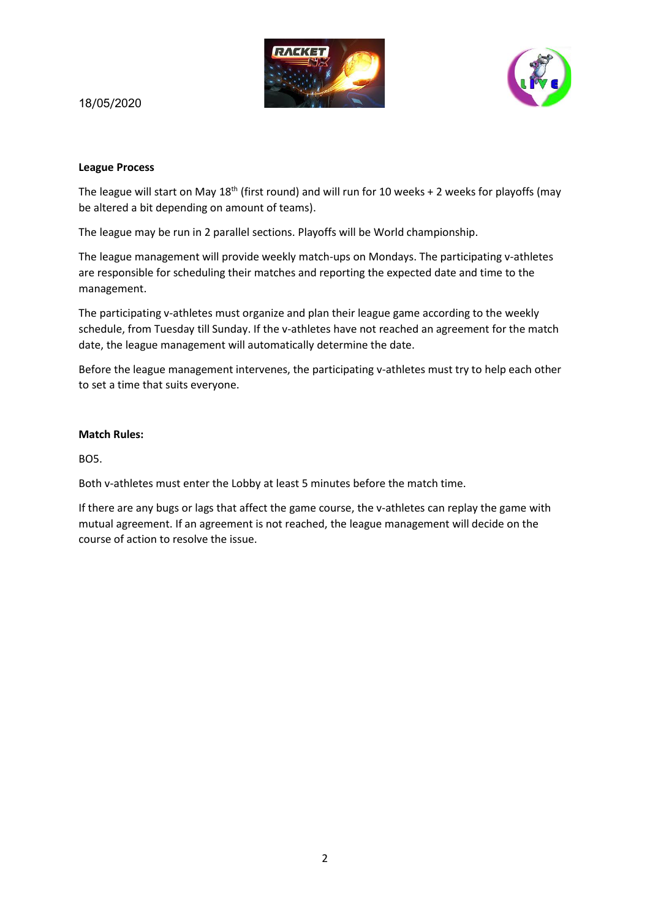



# 18/05/2020

## **League Process**

The league will start on May 18<sup>th</sup> (first round) and will run for 10 weeks + 2 weeks for playoffs (may be altered a bit depending on amount of teams).

The league may be run in 2 parallel sections. Playoffs will be World championship.

The league management will provide weekly match-ups on Mondays. The participating v-athletes are responsible for scheduling their matches and reporting the expected date and time to the management.

The participating v-athletes must organize and plan their league game according to the weekly schedule, from Tuesday till Sunday. If the v-athletes have not reached an agreement for the match date, the league management will automatically determine the date.

Before the league management intervenes, the participating v-athletes must try to help each other to set a time that suits everyone.

## **Match Rules:**

BO5.

Both v-athletes must enter the Lobby at least 5 minutes before the match time.

If there are any bugs or lags that affect the game course, the v-athletes can replay the game with mutual agreement. If an agreement is not reached, the league management will decide on the course of action to resolve the issue.